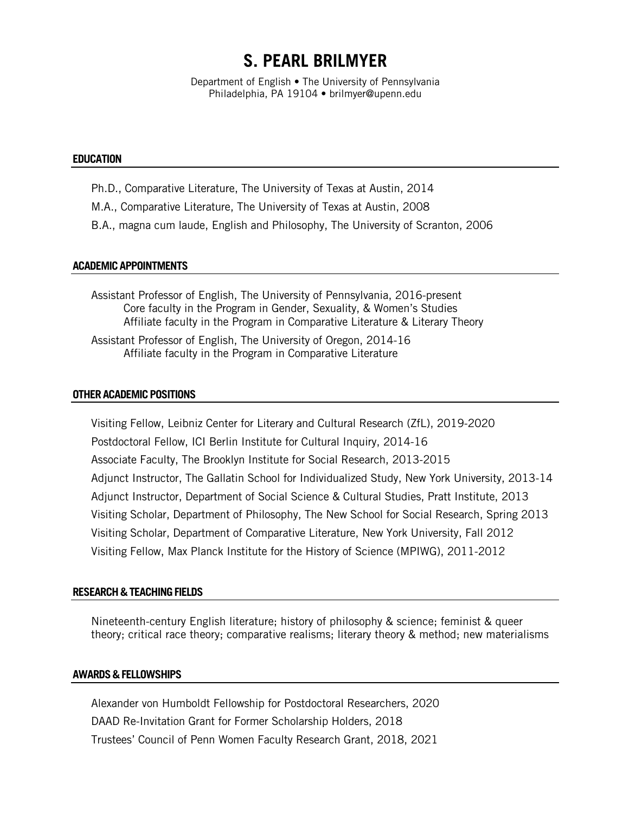# **S. PEARL BRILMYER**

Department of English • The University of Pennsylvania Philadelphia, PA 19104 • brilmyer@upenn.edu

## **EDUCATION**

- Ph.D., Comparative Literature, The University of Texas at Austin, 2014
- M.A., Comparative Literature, The University of Texas at Austin, 2008
- B.A., magna cum laude, English and Philosophy, The University of Scranton, 2006

## **ACADEMICAPPOINTMENTS**

Assistant Professor of English, The University of Pennsylvania, 2016-present Core faculty in the Program in Gender, Sexuality, & Women's Studies Affiliate faculty in the Program in Comparative Literature & Literary Theory

Assistant Professor of English, The University of Oregon, 2014-16 Affiliate faculty in the Program in Comparative Literature

#### **OTHER ACADEMIC POSITIONS**

Visiting Fellow, Leibniz Center for Literary and Cultural Research (ZfL), 2019-2020 Postdoctoral Fellow, ICI Berlin Institute for Cultural Inquiry, 2014-16 Associate Faculty, The Brooklyn Institute for Social Research, 2013-2015 Adjunct Instructor, The Gallatin School for Individualized Study, New York University, 2013-14 Adjunct Instructor, Department of Social Science & Cultural Studies, Pratt Institute, 2013 Visiting Scholar, Department of Philosophy, The New School for Social Research, Spring 2013 Visiting Scholar, Department of Comparative Literature, New York University, Fall 2012 Visiting Fellow, Max Planck Institute for the History of Science (MPIWG), 2011-2012

#### **RESEARCH&TEACHINGFIELDS**

Nineteenth-century English literature; history of philosophy & science; feminist & queer theory; critical race theory; comparative realisms; literary theory & method; new materialisms

#### **AWARDS&FELLOWSHIPS**

Alexander von Humboldt Fellowship for Postdoctoral Researchers, 2020 DAAD Re-Invitation Grant for Former Scholarship Holders, 2018 Trustees' Council of Penn Women Faculty Research Grant, 2018, 2021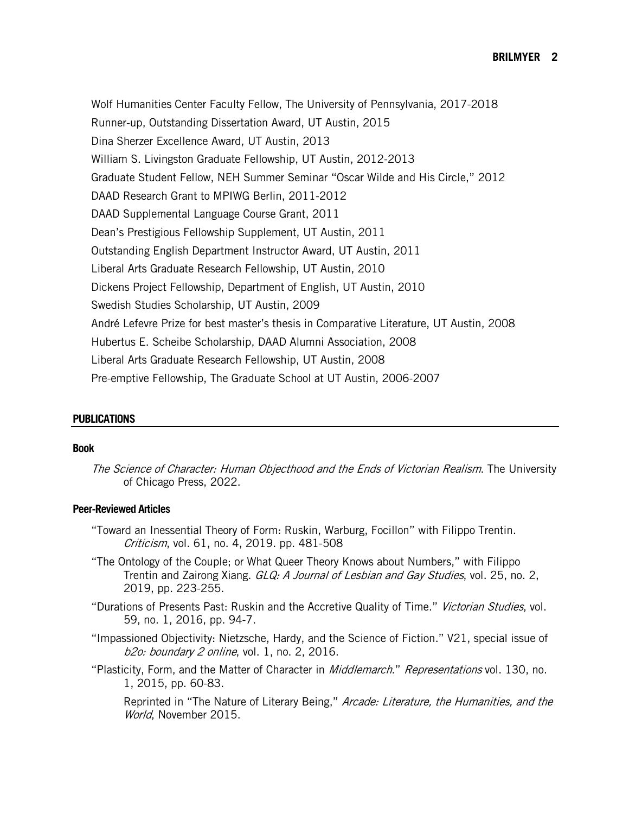Wolf Humanities Center Faculty Fellow, The University of Pennsylvania, 2017-2018 Runner-up, Outstanding Dissertation Award, UT Austin, 2015 Dina Sherzer Excellence Award, UT Austin, 2013 William S. Livingston Graduate Fellowship, UT Austin, 2012-2013 Graduate Student Fellow, NEH Summer Seminar "Oscar Wilde and His Circle," 2012 DAAD Research Grant to MPIWG Berlin, 2011-2012 DAAD Supplemental Language Course Grant, 2011 Dean's Prestigious Fellowship Supplement, UT Austin, 2011 Outstanding English Department Instructor Award, UT Austin, 2011 Liberal Arts Graduate Research Fellowship, UT Austin, 2010 Dickens Project Fellowship, Department of English, UT Austin, 2010 Swedish Studies Scholarship, UT Austin, 2009 André Lefevre Prize for best master's thesis in Comparative Literature, UT Austin, 2008 Hubertus E. Scheibe Scholarship, DAAD Alumni Association, 2008 Liberal Arts Graduate Research Fellowship, UT Austin, 2008 Pre-emptive Fellowship, The Graduate School at UT Austin, 2006-2007

# **PUBLICATIONS**

## **Book**

The Science of Character: Human Objecthood and the Ends of Victorian Realism. The University of Chicago Press, 2022.

# **Peer-Reviewed Articles**

- "Toward an Inessential Theory of Form: Ruskin, Warburg, Focillon" with Filippo Trentin. Criticism, vol. 61, no. 4, 2019. pp. 481-508
- "The Ontology of the Couple; or What Queer Theory Knows about Numbers," with Filippo Trentin and Zairong Xiang. GLQ: A Journal of Lesbian and Gay Studies, vol. 25, no. 2, 2019, pp. 223-255.
- "Durations of Presents Past: Ruskin and the Accretive Quality of Time." Victorian Studies, vol. 59, no. 1, 2016, pp. 94-7.
- "Impassioned Objectivity: Nietzsche, Hardy, and the Science of Fiction." V21, special issue of b2o: boundary 2 online, vol. 1, no. 2, 2016.
- "Plasticity, Form, and the Matter of Character in *Middlemarch." Representations* vol. 130, no. 1, 2015, pp. 60-83.

Reprinted in "The Nature of Literary Being," Arcade: Literature, the Humanities, and the World, November 2015.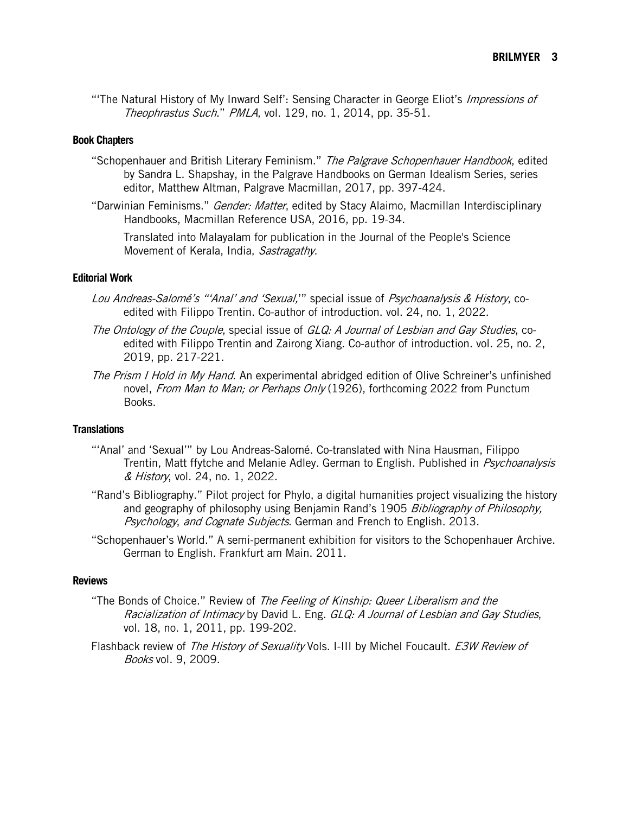"The Natural History of My Inward Self': Sensing Character in George Eliot's *Impressions of* Theophrastus Such." PMLA, vol. 129, no. 1, 2014, pp. 35-51.

# **Book Chapters**

- "Schopenhauer and British Literary Feminism." The Palgrave Schopenhauer Handbook, edited by Sandra L. Shapshay, in the Palgrave Handbooks on German Idealism Series, series editor, Matthew Altman, Palgrave Macmillan, 2017, pp. 397-424.
- "Darwinian Feminisms." *Gender: Matter*, edited by Stacy Alaimo, Macmillan Interdisciplinary Handbooks, Macmillan Reference USA, 2016, pp. 19-34.

Translated into Malayalam for publication in the Journal of the People's Science Movement of Kerala, India, Sastragathy.

# **Editorial Work**

- Lou Andreas-Salomé's "'Anal' and 'Sexual,'" special issue of Psychoanalysis & History, coedited with Filippo Trentin. Co-author of introduction. vol. 24, no. 1, 2022.
- The Ontology of the Couple, special issue of GLQ: A Journal of Lesbian and Gay Studies, coedited with Filippo Trentin and Zairong Xiang. Co-author of introduction. vol. 25, no. 2, 2019, pp. 217-221.
- The Prism I Hold in My Hand. An experimental abridged edition of Olive Schreiner's unfinished novel, From Man to Man; or Perhaps Only (1926), forthcoming 2022 from Punctum Books.

# **Translations**

- "'Anal' and 'Sexual'" by Lou Andreas-Salomé. Co-translated with Nina Hausman, Filippo Trentin, Matt ffytche and Melanie Adley. German to English. Published in Psychoanalysis & History, vol. 24, no. 1, 2022.
- "Rand's Bibliography." Pilot project for Phylo, a digital humanities project visualizing the history and geography of philosophy using Benjamin Rand's 1905 Bibliography of Philosophy, Psychology, and Cognate Subjects. German and French to English. 2013.
- "Schopenhauer's World." A semi-permanent exhibition for visitors to the Schopenhauer Archive. German to English. Frankfurt am Main. 2011.

#### **Reviews**

- "The Bonds of Choice." Review of The Feeling of Kinship: Queer Liberalism and the Racialization of Intimacy by David L. Eng. GLQ: A Journal of Lesbian and Gay Studies, vol. 18, no. 1, 2011, pp. 199-202.
- Flashback review of The History of Sexuality Vols. I-III by Michel Foucault. E3W Review of Books vol. 9, 2009.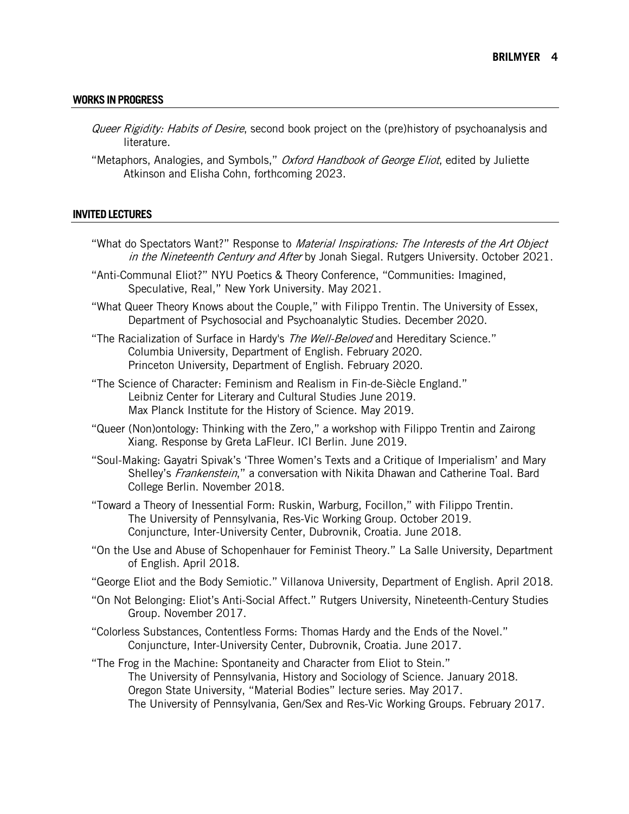#### **WORKSINPROGRESS**

- Queer Rigidity: Habits of Desire, second book project on the (pre)history of psychoanalysis and literature.
- "Metaphors, Analogies, and Symbols," *Oxford Handbook of George Eliot*, edited by Juliette Atkinson and Elisha Cohn, forthcoming 2023.

#### **INVITEDLECTURES**

- "What do Spectators Want?" Response to Material Inspirations: The Interests of the Art Obiect in the Nineteenth Century and After by Jonah Siegal. Rutgers University. October 2021.
- "Anti-Communal Eliot?" NYU Poetics & Theory Conference, "Communities: Imagined, Speculative, Real," New York University. May 2021.
- "What Queer Theory Knows about the Couple," with Filippo Trentin. The University of Essex, Department of Psychosocial and Psychoanalytic Studies. December 2020.
- "The Racialization of Surface in Hardy's The Well-Beloved and Hereditary Science." Columbia University, Department of English. February 2020. Princeton University, Department of English. February 2020.
- "The Science of Character: Feminism and Realism in Fin-de-Siècle England." Leibniz Center for Literary and Cultural Studies June 2019. Max Planck Institute for the History of Science. May 2019.
- "Queer (Non)ontology: Thinking with the Zero," a workshop with Filippo Trentin and Zairong Xiang. Response by Greta LaFleur. ICI Berlin. June 2019.
- "Soul-Making: Gayatri Spivak's 'Three Women's Texts and a Critique of Imperialism' and Mary Shelley's Frankenstein," a conversation with Nikita Dhawan and Catherine Toal. Bard College Berlin. November 2018.
- "Toward a Theory of Inessential Form: Ruskin, Warburg, Focillon," with Filippo Trentin. The University of Pennsylvania, Res-Vic Working Group. October 2019. Conjuncture, Inter-University Center, Dubrovnik, Croatia. June 2018.
- "On the Use and Abuse of Schopenhauer for Feminist Theory." La Salle University, Department of English. April 2018.
- "George Eliot and the Body Semiotic." Villanova University, Department of English. April 2018.
- "On Not Belonging: Eliot's Anti-Social Affect." Rutgers University, Nineteenth-Century Studies Group. November 2017.
- "Colorless Substances, Contentless Forms: Thomas Hardy and the Ends of the Novel." Conjuncture, Inter-University Center, Dubrovnik, Croatia. June 2017.
- "The Frog in the Machine: Spontaneity and Character from Eliot to Stein." The University of Pennsylvania, History and Sociology of Science. January 2018. Oregon State University, "Material Bodies" lecture series. May 2017. The University of Pennsylvania, Gen/Sex and Res-Vic Working Groups. February 2017.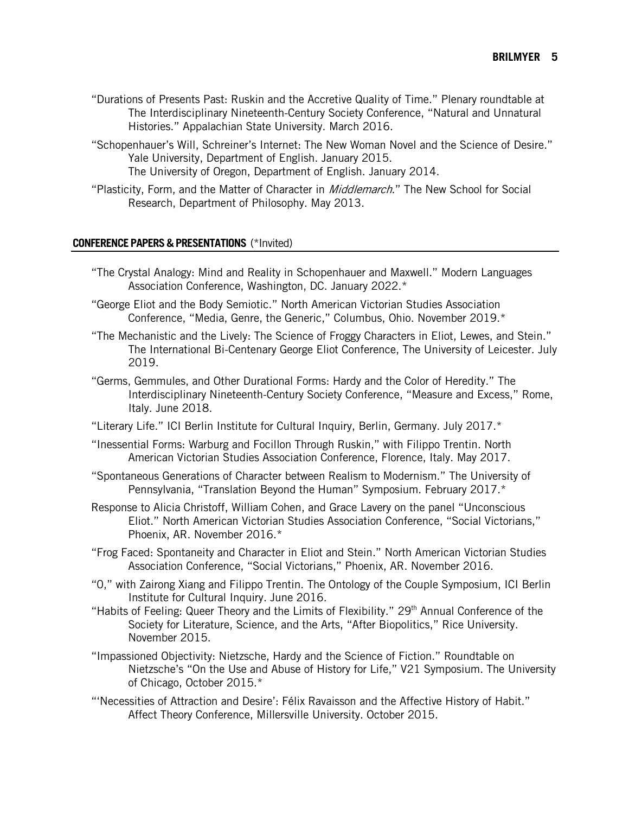- "Durations of Presents Past: Ruskin and the Accretive Quality of Time." Plenary roundtable at The Interdisciplinary Nineteenth-Century Society Conference, "Natural and Unnatural Histories." Appalachian State University. March 2016.
- "Schopenhauer's Will, Schreiner's Internet: The New Woman Novel and the Science of Desire." Yale University, Department of English. January 2015. The University of Oregon, Department of English. January 2014.
- "Plasticity, Form, and the Matter of Character in *Middlemarch*." The New School for Social Research, Department of Philosophy. May 2013.

# **CONFERENCEPAPERS&PRESENTATIONS** (\*Invited)

- "The Crystal Analogy: Mind and Reality in Schopenhauer and Maxwell." Modern Languages Association Conference, Washington, DC. January 2022.\*
- "George Eliot and the Body Semiotic." North American Victorian Studies Association Conference, "Media, Genre, the Generic," Columbus, Ohio. November 2019.\*
- "The Mechanistic and the Lively: The Science of Froggy Characters in Eliot, Lewes, and Stein." The International Bi-Centenary George Eliot Conference, The University of Leicester. July 2019.
- "Germs, Gemmules, and Other Durational Forms: Hardy and the Color of Heredity." The Interdisciplinary Nineteenth-Century Society Conference, "Measure and Excess," Rome, Italy. June 2018.
- "Literary Life." ICI Berlin Institute for Cultural Inquiry, Berlin, Germany. July 2017.\*
- "Inessential Forms: Warburg and Focillon Through Ruskin," with Filippo Trentin. North American Victorian Studies Association Conference, Florence, Italy. May 2017.
- "Spontaneous Generations of Character between Realism to Modernism." The University of Pennsylvania, "Translation Beyond the Human" Symposium. February 2017.\*
- Response to Alicia Christoff, William Cohen, and Grace Lavery on the panel "Unconscious Eliot." North American Victorian Studies Association Conference, "Social Victorians," Phoenix, AR. November 2016.\*
- "Frog Faced: Spontaneity and Character in Eliot and Stein." North American Victorian Studies Association Conference, "Social Victorians," Phoenix, AR. November 2016.
- "0," with Zairong Xiang and Filippo Trentin. The Ontology of the Couple Symposium, ICI Berlin Institute for Cultural Inquiry. June 2016.
- "Habits of Feeling: Queer Theory and the Limits of Flexibility." 29<sup>th</sup> Annual Conference of the Society for Literature, Science, and the Arts, "After Biopolitics," Rice University. November 2015.
- "Impassioned Objectivity: Nietzsche, Hardy and the Science of Fiction." Roundtable on Nietzsche's "On the Use and Abuse of History for Life," V21 Symposium. The University of Chicago, October 2015.\*
- "'Necessities of Attraction and Desire': Félix Ravaisson and the Affective History of Habit." Affect Theory Conference, Millersville University. October 2015.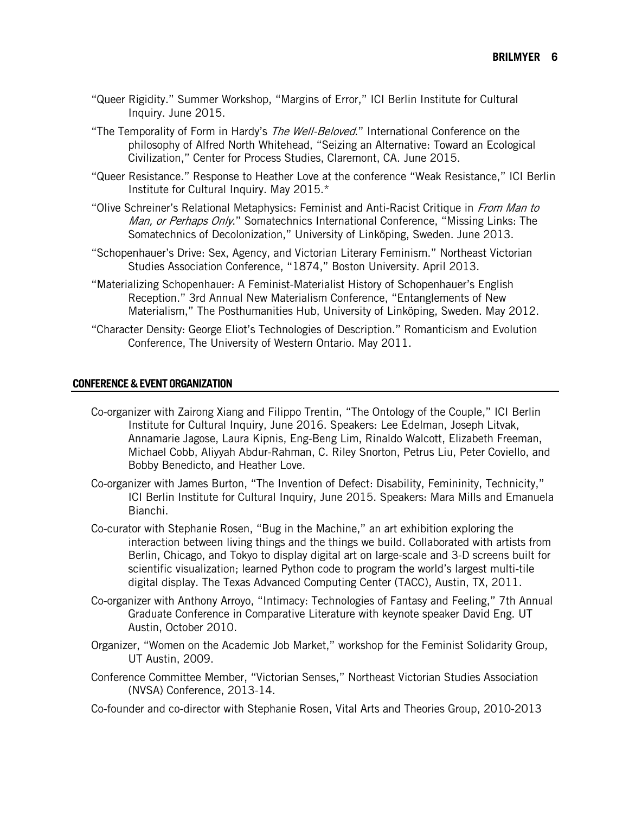- "Queer Rigidity." Summer Workshop, "Margins of Error," ICI Berlin Institute for Cultural Inquiry. June 2015.
- "The Temporality of Form in Hardy's *The Well-Beloved*." International Conference on the philosophy of Alfred North Whitehead, "Seizing an Alternative: Toward an Ecological Civilization," Center for Process Studies, Claremont, CA. June 2015.
- "Queer Resistance." Response to Heather Love at the conference "Weak Resistance," ICI Berlin Institute for Cultural Inquiry. May 2015.\*
- "Olive Schreiner's Relational Metaphysics: Feminist and Anti-Racist Critique in From Man to Man, or Perhaps Only." Somatechnics International Conference, "Missing Links: The Somatechnics of Decolonization," University of Linköping, Sweden. June 2013.
- "Schopenhauer's Drive: Sex, Agency, and Victorian Literary Feminism." Northeast Victorian Studies Association Conference, "1874," Boston University. April 2013.
- "Materializing Schopenhauer: A Feminist-Materialist History of Schopenhauer's English Reception." 3rd Annual New Materialism Conference, "Entanglements of New Materialism," The Posthumanities Hub, University of Linköping, Sweden. May 2012.
- "Character Density: George Eliot's Technologies of Description." Romanticism and Evolution Conference, The University of Western Ontario. May 2011.

## **CONFERENCE&EVENTORGANIZATION**

- Co-organizer with Zairong Xiang and Filippo Trentin, "The Ontology of the Couple," ICI Berlin Institute for Cultural Inquiry, June 2016. Speakers: Lee Edelman, Joseph Litvak, Annamarie Jagose, Laura Kipnis, Eng-Beng Lim, Rinaldo Walcott, Elizabeth Freeman, Michael Cobb, Aliyyah Abdur-Rahman, C. Riley Snorton, Petrus Liu, Peter Coviello, and Bobby Benedicto, and Heather Love.
- Co-organizer with James Burton, "The Invention of Defect: Disability, Femininity, Technicity," ICI Berlin Institute for Cultural Inquiry, June 2015. Speakers: Mara Mills and Emanuela Bianchi.
- Co-curator with Stephanie Rosen, "Bug in the Machine," an art exhibition exploring the interaction between living things and the things we build. Collaborated with artists from Berlin, Chicago, and Tokyo to display digital art on large-scale and 3-D screens built for scientific visualization; learned Python code to program the world's largest multi-tile digital display. The Texas Advanced Computing Center (TACC), Austin, TX, 2011.
- Co-organizer with Anthony Arroyo, "Intimacy: Technologies of Fantasy and Feeling," 7th Annual Graduate Conference in Comparative Literature with keynote speaker David Eng. UT Austin, October 2010.
- Organizer, "Women on the Academic Job Market," workshop for the Feminist Solidarity Group, UT Austin, 2009.
- Conference Committee Member, "Victorian Senses," Northeast Victorian Studies Association (NVSA) Conference, 2013-14.
- Co-founder and co-director with Stephanie Rosen, Vital Arts and Theories Group, 2010-2013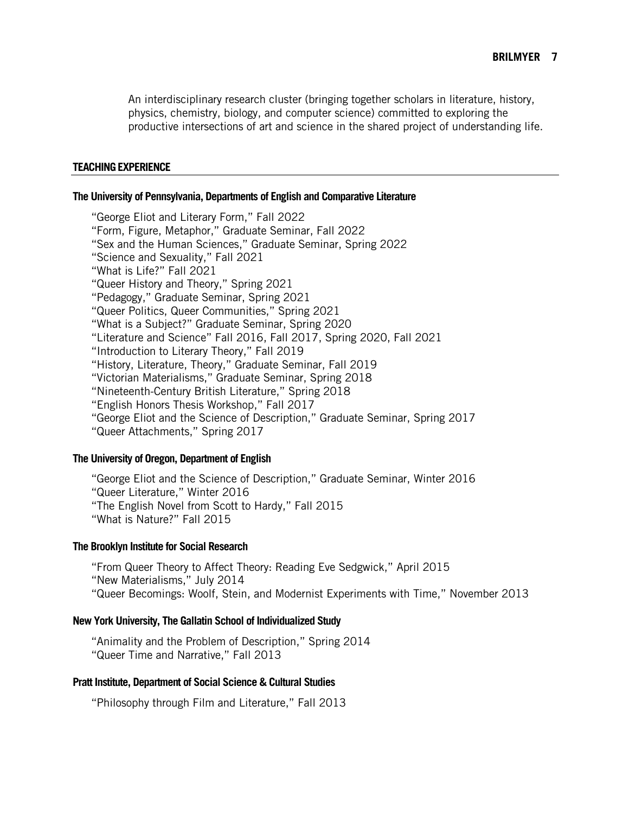An interdisciplinary research cluster (bringing together scholars in literature, history, physics, chemistry, biology, and computer science) committed to exploring the productive intersections of art and science in the shared project of understanding life.

#### **TEACHINGEXPERIENCE**

#### **The University of Pennsylvania, Departments of English and Comparative Literature**

"George Eliot and Literary Form," Fall 2022 "Form, Figure, Metaphor," Graduate Seminar, Fall 2022 "Sex and the Human Sciences," Graduate Seminar, Spring 2022 "Science and Sexuality," Fall 2021 "What is Life?" Fall 2021 "Queer History and Theory," Spring 2021 "Pedagogy," Graduate Seminar, Spring 2021 "Queer Politics, Queer Communities," Spring 2021 "What is a Subject?" Graduate Seminar, Spring 2020 "Literature and Science" Fall 2016, Fall 2017, Spring 2020, Fall 2021 "Introduction to Literary Theory," Fall 2019 "History, Literature, Theory," Graduate Seminar, Fall 2019 "Victorian Materialisms," Graduate Seminar, Spring 2018 "Nineteenth-Century British Literature," Spring 2018 "English Honors Thesis Workshop," Fall 2017 "George Eliot and the Science of Description," Graduate Seminar, Spring 2017 "Queer Attachments," Spring 2017

# **The University of Oregon, Department of English**

"George Eliot and the Science of Description," Graduate Seminar, Winter 2016 "Queer Literature," Winter 2016 "The English Novel from Scott to Hardy," Fall 2015 "What is Nature?" Fall 2015

#### **The Brooklyn Institute for Social Research**

"From Queer Theory to Affect Theory: Reading Eve Sedgwick," April 2015 "New Materialisms," July 2014 "Queer Becomings: Woolf, Stein, and Modernist Experiments with Time," November 2013

# **New York University, The Gallatin School of Individualized Study**

"Animality and the Problem of Description," Spring 2014 "Queer Time and Narrative," Fall 2013

# **Pratt Institute, Department of Social Science & Cultural Studies**

"Philosophy through Film and Literature," Fall 2013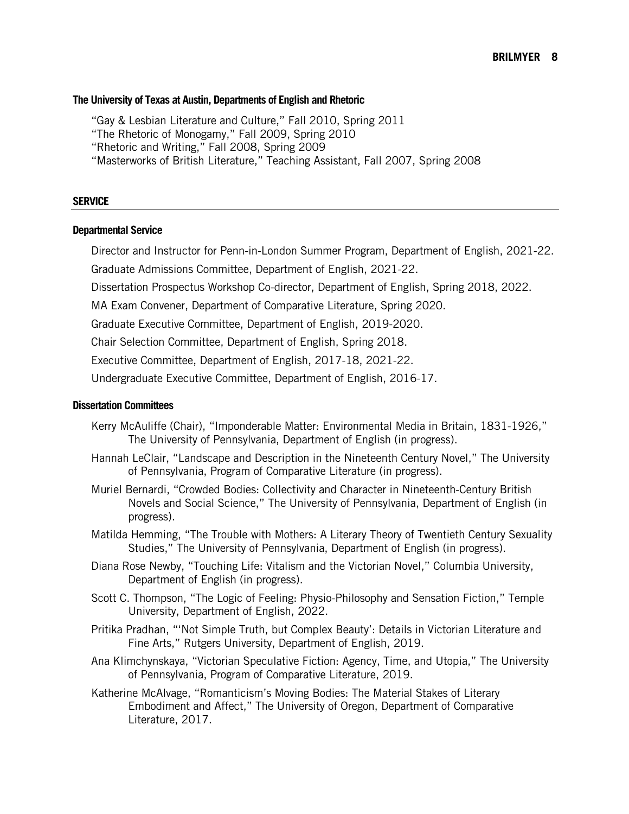#### **The University of Texas at Austin, Departments of English and Rhetoric**

"Gay & Lesbian Literature and Culture," Fall 2010, Spring 2011

"The Rhetoric of Monogamy," Fall 2009, Spring 2010

"Rhetoric and Writing," Fall 2008, Spring 2009

"Masterworks of British Literature," Teaching Assistant, Fall 2007, Spring 2008

#### **SERVICE**

#### **Departmental Service**

Director and Instructor for Penn-in-London Summer Program, Department of English, 2021-22.

Graduate Admissions Committee, Department of English, 2021-22.

Dissertation Prospectus Workshop Co-director, Department of English, Spring 2018, 2022.

MA Exam Convener, Department of Comparative Literature, Spring 2020.

Graduate Executive Committee, Department of English, 2019-2020.

Chair Selection Committee, Department of English, Spring 2018.

Executive Committee, Department of English, 2017-18, 2021-22.

Undergraduate Executive Committee, Department of English, 2016-17.

# **Dissertation Committees**

- Kerry McAuliffe (Chair), "Imponderable Matter: Environmental Media in Britain, 1831-1926," The University of Pennsylvania, Department of English (in progress).
- Hannah LeClair, "Landscape and Description in the Nineteenth Century Novel," The University of Pennsylvania, Program of Comparative Literature (in progress).
- Muriel Bernardi, "Crowded Bodies: Collectivity and Character in Nineteenth-Century British Novels and Social Science," The University of Pennsylvania, Department of English (in progress).
- Matilda Hemming, "The Trouble with Mothers: A Literary Theory of Twentieth Century Sexuality Studies," The University of Pennsylvania, Department of English (in progress).
- Diana Rose Newby, "Touching Life: Vitalism and the Victorian Novel," Columbia University, Department of English (in progress).
- Scott C. Thompson, "The Logic of Feeling: Physio-Philosophy and Sensation Fiction," Temple University, Department of English, 2022.
- Pritika Pradhan, "'Not Simple Truth, but Complex Beauty': Details in Victorian Literature and Fine Arts," Rutgers University, Department of English, 2019.
- Ana Klimchynskaya, "Victorian Speculative Fiction: Agency, Time, and Utopia," The University of Pennsylvania, Program of Comparative Literature, 2019.
- Katherine McAlvage, "Romanticism's Moving Bodies: The Material Stakes of Literary Embodiment and Affect," The University of Oregon, Department of Comparative Literature, 2017.